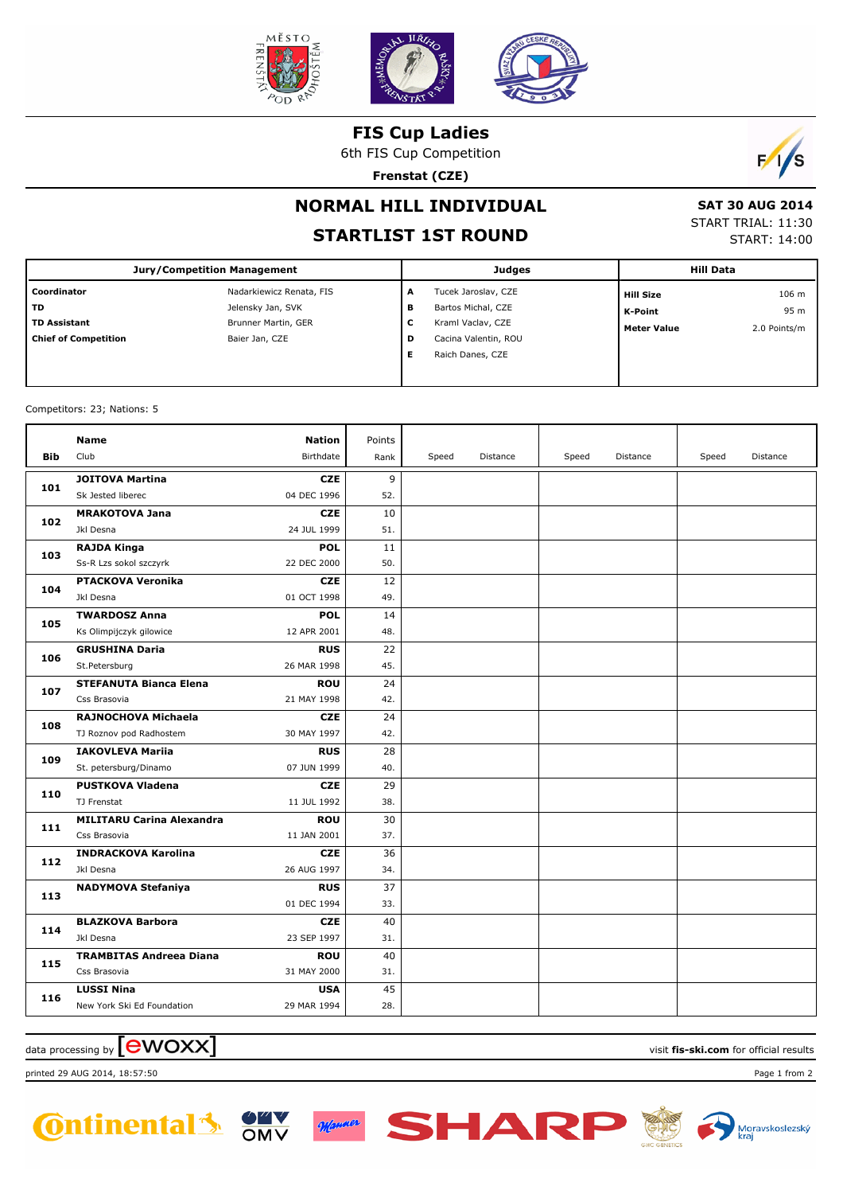

**FIS Cup Ladies**

6th FIS Cup Competition

**Frenstat (CZE)**



## **NORMAL HILL INDIVIDUAL**

## **STARTLIST 1ST ROUND**

**E** Raich Danes, CZE

 **SAT 30 AUG 2014** START TRIAL: 11:30 START: 14:00

|                             | <b>Jury/Competition Management</b> |   | <b>Judges</b>        |                    | <b>Hill Data</b> |
|-----------------------------|------------------------------------|---|----------------------|--------------------|------------------|
| Coordinator                 | Nadarkiewicz Renata, FIS           | A | Tucek Jaroslav, CZE  | <b>Hill Size</b>   | 106 m            |
| TD                          | Jelensky Jan, SVK                  | в | Bartos Michal, CZE   | K-Point            | 95 m             |
| TD Assistant                | Brunner Martin, GER                | c | Kraml Vaclav, CZE    | <b>Meter Value</b> | 2.0 Points/m     |
| <b>Chief of Competition</b> | Baier Jan, CZE                     | D | Cacina Valentin, ROU |                    |                  |

Competitors: 23; Nations: 5

|            | <b>Name</b>                      | <b>Nation</b> | Points |       |          |       |          |       |          |
|------------|----------------------------------|---------------|--------|-------|----------|-------|----------|-------|----------|
| <b>Bib</b> | Club                             | Birthdate     | Rank   | Speed | Distance | Speed | Distance | Speed | Distance |
| 101        | <b>JOITOVA Martina</b>           | <b>CZE</b>    | 9      |       |          |       |          |       |          |
|            | Sk Jested liberec                | 04 DEC 1996   | 52.    |       |          |       |          |       |          |
| 102        | <b>MRAKOTOVA Jana</b>            | <b>CZE</b>    | 10     |       |          |       |          |       |          |
|            | Jkl Desna                        | 24 JUL 1999   | 51.    |       |          |       |          |       |          |
| 103        | <b>RAJDA Kinga</b>               | <b>POL</b>    | 11     |       |          |       |          |       |          |
|            | Ss-R Lzs sokol szczyrk           | 22 DEC 2000   | 50.    |       |          |       |          |       |          |
| 104        | <b>PTACKOVA Veronika</b>         | <b>CZE</b>    | 12     |       |          |       |          |       |          |
|            | Jkl Desna                        | 01 OCT 1998   | 49.    |       |          |       |          |       |          |
| 105        | <b>TWARDOSZ Anna</b>             | <b>POL</b>    | 14     |       |          |       |          |       |          |
|            | Ks Olimpijczyk gilowice          | 12 APR 2001   | 48.    |       |          |       |          |       |          |
|            | <b>GRUSHINA Daria</b>            | <b>RUS</b>    | 22     |       |          |       |          |       |          |
| 106        | St.Petersburg                    | 26 MAR 1998   | 45.    |       |          |       |          |       |          |
| 107        | <b>STEFANUTA Bianca Elena</b>    | <b>ROU</b>    | 24     |       |          |       |          |       |          |
|            | Css Brasovia                     | 21 MAY 1998   | 42.    |       |          |       |          |       |          |
| 108        | RAJNOCHOVA Michaela              | <b>CZE</b>    | 24     |       |          |       |          |       |          |
|            | TJ Roznov pod Radhostem          | 30 MAY 1997   | 42.    |       |          |       |          |       |          |
| 109        | <b>IAKOVLEVA Mariia</b>          | <b>RUS</b>    | 28     |       |          |       |          |       |          |
|            | St. petersburg/Dinamo            | 07 JUN 1999   | 40.    |       |          |       |          |       |          |
| 110        | <b>PUSTKOVA Vladena</b>          | <b>CZE</b>    | 29     |       |          |       |          |       |          |
|            | TJ Frenstat                      | 11 JUL 1992   | 38.    |       |          |       |          |       |          |
| 111        | <b>MILITARU Carina Alexandra</b> | <b>ROU</b>    | 30     |       |          |       |          |       |          |
|            | Css Brasovia                     | 11 JAN 2001   | 37.    |       |          |       |          |       |          |
| 112        | <b>INDRACKOVA Karolina</b>       | <b>CZE</b>    | 36     |       |          |       |          |       |          |
|            | Jkl Desna                        | 26 AUG 1997   | 34.    |       |          |       |          |       |          |
| 113        | <b>NADYMOVA Stefaniya</b>        | <b>RUS</b>    | 37     |       |          |       |          |       |          |
|            |                                  | 01 DEC 1994   | 33.    |       |          |       |          |       |          |
| 114        | <b>BLAZKOVA Barbora</b>          | <b>CZE</b>    | 40     |       |          |       |          |       |          |
|            | Jkl Desna                        | 23 SEP 1997   | 31.    |       |          |       |          |       |          |
| 115        | <b>TRAMBITAS Andreea Diana</b>   | <b>ROU</b>    | 40     |       |          |       |          |       |          |
|            | Css Brasovia                     | 31 MAY 2000   | 31.    |       |          |       |          |       |          |
| 116        | <b>LUSSI Nina</b>                | <b>USA</b>    | 45     |       |          |       |          |       |          |
|            | New York Ski Ed Foundation       | 29 MAR 1994   | 28.    |       |          |       |          |       |          |

 $\alpha$  data processing by  $\boxed{\text{ewOX}}$ 

printed 29 AUG 2014, 18:57:50 Page 1 from 2



Monner

SHAR